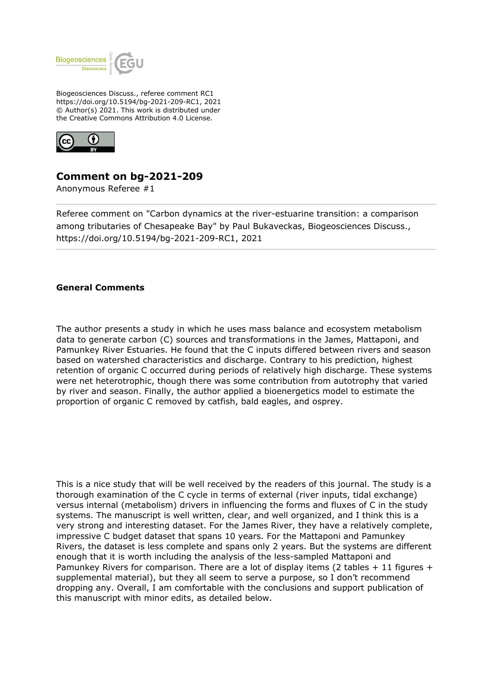

Biogeosciences Discuss., referee comment RC1 https://doi.org/10.5194/bg-2021-209-RC1, 2021 © Author(s) 2021. This work is distributed under the Creative Commons Attribution 4.0 License.



## **Comment on bg-2021-209**

Anonymous Referee #1

Referee comment on "Carbon dynamics at the river-estuarine transition: a comparison among tributaries of Chesapeake Bay" by Paul Bukaveckas, Biogeosciences Discuss., https://doi.org/10.5194/bg-2021-209-RC1, 2021

## **General Comments**

The author presents a study in which he uses mass balance and ecosystem metabolism data to generate carbon (C) sources and transformations in the James, Mattaponi, and Pamunkey River Estuaries. He found that the C inputs differed between rivers and season based on watershed characteristics and discharge. Contrary to his prediction, highest retention of organic C occurred during periods of relatively high discharge. These systems were net heterotrophic, though there was some contribution from autotrophy that varied by river and season. Finally, the author applied a bioenergetics model to estimate the proportion of organic C removed by catfish, bald eagles, and osprey.

This is a nice study that will be well received by the readers of this journal. The study is a thorough examination of the C cycle in terms of external (river inputs, tidal exchange) versus internal (metabolism) drivers in influencing the forms and fluxes of C in the study systems. The manuscript is well written, clear, and well organized, and I think this is a very strong and interesting dataset. For the James River, they have a relatively complete, impressive C budget dataset that spans 10 years. For the Mattaponi and Pamunkey Rivers, the dataset is less complete and spans only 2 years. But the systems are different enough that it is worth including the analysis of the less-sampled Mattaponi and Pamunkey Rivers for comparison. There are a lot of display items (2 tables  $+11$  figures  $+$ supplemental material), but they all seem to serve a purpose, so I don't recommend dropping any. Overall, I am comfortable with the conclusions and support publication of this manuscript with minor edits, as detailed below.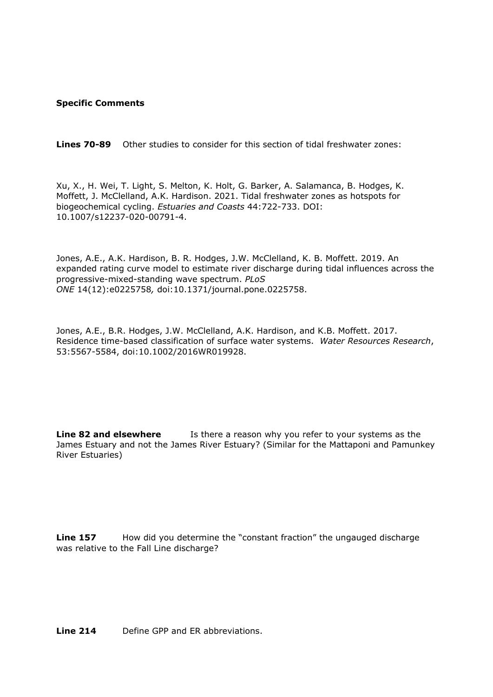## **Specific Comments**

**Lines 70-89** Other studies to consider for this section of tidal freshwater zones:

Xu, X., H. Wei, T. Light, S. Melton, K. Holt, G. Barker, A. Salamanca, B. Hodges, K. Moffett, J. McClelland, A.K. Hardison. 2021. Tidal freshwater zones as hotspots for biogeochemical cycling. *Estuaries and Coasts* 44:722-733. DOI: 10.1007/s12237-020-00791-4.

Jones, A.E., A.K. Hardison, B. R. Hodges, J.W. McClelland, K. B. Moffett. 2019. An expanded rating curve model to estimate river discharge during tidal influences across the progressive-mixed-standing wave spectrum. *PLoS ONE* 14(12):e0225758*,* doi:10.1371/journal.pone.0225758.

Jones, A.E., B.R. Hodges, J.W. McClelland, A.K. Hardison, and K.B. Moffett. 2017. Residence time-based classification of surface water systems. *Water Resources Research*, 53:5567-5584, doi:10.1002/2016WR019928.

**Line 82 and elsewhere** Is there a reason why you refer to your systems as the James Estuary and not the James River Estuary? (Similar for the Mattaponi and Pamunkey River Estuaries)

**Line 157** How did you determine the "constant fraction" the ungauged discharge was relative to the Fall Line discharge?

**Line 214** Define GPP and FR abbreviations.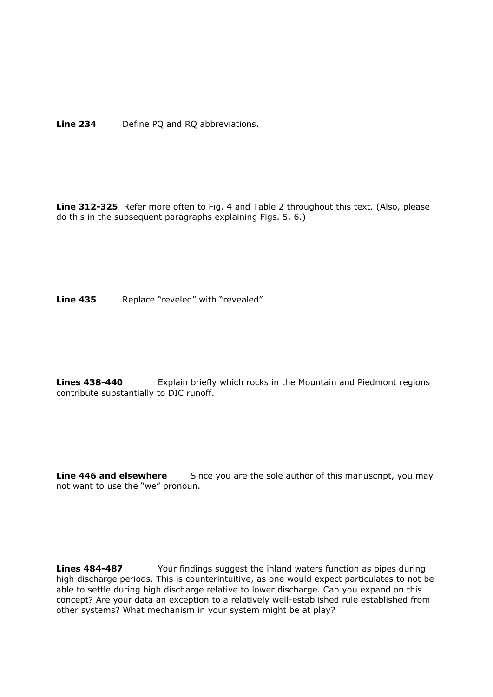**Line 234** Define PQ and RQ abbreviations.

**Line 312-325** Refer more often to Fig. 4 and Table 2 throughout this text. (Also, please do this in the subsequent paragraphs explaining Figs. 5, 6.)

Line 435 Replace "reveled" with "revealed"

**Lines 438-440** Explain briefly which rocks in the Mountain and Piedmont regions contribute substantially to DIC runoff.

**Line 446 and elsewhere** Since you are the sole author of this manuscript, you may not want to use the "we" pronoun.

**Lines 484-487** Your findings suggest the inland waters function as pipes during high discharge periods. This is counterintuitive, as one would expect particulates to not be able to settle during high discharge relative to lower discharge. Can you expand on this concept? Are your data an exception to a relatively well-established rule established from other systems? What mechanism in your system might be at play?